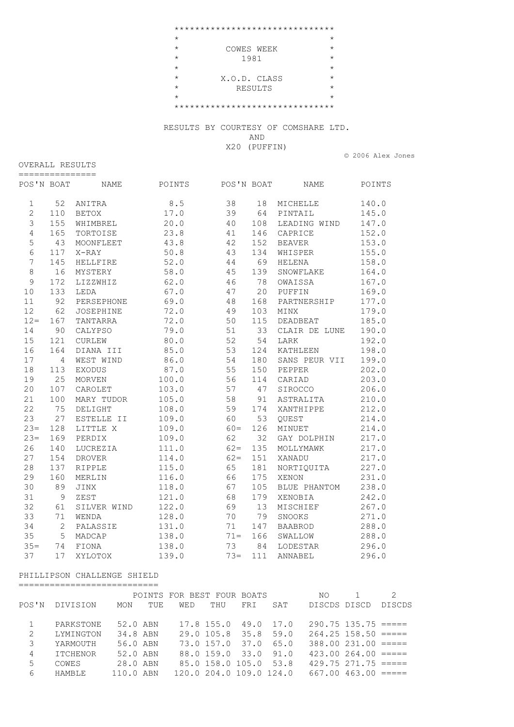\*\*\*\*\*\*\*\*\*\*\*\*\*\*\*\*\*\*\*\*\*\*\*\*\*\*\*\*\*\*\*  $\star$   $\star$  \* COWES WEEK \*  $\star$  1981  $\star$  $\star$   $\star$  \* X.O.D. CLASS \* \* RESULTS \*  $\star$  \* \* \*\*\*\*\*\*\*\*\*\*\*\*\*\*\*\*\*\*\*\*\*\*\*\*\*\*\*\*\*\*\*

> RESULTS BY COURTESY OF COMSHARE LTD. AND

X20 (PUFFIN)

© 2006 Alex Jones

| POS'N BOAT     |                | NAME             | POINTS | POS'N BOAT |     | NAME           | POINTS |
|----------------|----------------|------------------|--------|------------|-----|----------------|--------|
| $\mathbf 1$    | 52             | ANITRA           | 8.5    | 38         | 18  | MICHELLE       | 140.0  |
| $\overline{c}$ | 110            | <b>BETOX</b>     | 17.0   | 39         | 64  | PINTAIL        | 145.0  |
| 3              | 155            | WHIMBREL         | 20.0   | 40         | 108 | LEADING WIND   | 147.0  |
| $\overline{4}$ | 165            | TORTOISE         | 23.8   | 41         | 146 | CAPRICE        | 152.0  |
| 5              | 43             | MOONFLEET        | 43.8   | 42         | 152 | <b>BEAVER</b>  | 153.0  |
| 6              | 117            | $X-RAY$          | 50.8   | 43         | 134 | WHISPER        | 155.0  |
| $\overline{7}$ | 145            | HELLFIRE         | 52.0   | 44         | 69  | <b>HELENA</b>  | 158.0  |
| 8              | 16             | MYSTERY          | 58.0   | 45         | 139 | SNOWFLAKE      | 164.0  |
| $\mathsf 9$    | 172            | LIZZWHIZ         | 62.0   | 46         | 78  | OWAISSA        | 167.0  |
| 10             | 133            | LEDA             | 67.0   | 47         | 20  | PUFFIN         | 169.0  |
| 11             | 92             | PERSEPHONE       | 69.0   | 48         | 168 | PARTNERSHIP    | 177.0  |
| 12             | 62             | <b>JOSEPHINE</b> | 72.0   | 49         | 103 | MINX           | 179.0  |
| $12 =$         | 167            | TANTARRA         | 72.0   | 50         | 115 | DEADBEAT       | 185.0  |
| 14             | 90             | CALYPSO          | 79.0   | 51         | 33  | CLAIR DE LUNE  | 190.0  |
| 15             | 121            | CURLEW           | 80.0   | 52         | 54  | LARK           | 192.0  |
| 16             | 164            | DIANA III        | 85.0   | 53         | 124 | KATHLEEN       | 198.0  |
| 17             | $\overline{4}$ | WEST WIND        | 86.0   | 54         | 180 | SANS PEUR VII  | 199.0  |
| 18             | 113            | <b>EXODUS</b>    | 87.0   | 55         | 150 | PEPPER         | 202.0  |
| 19             | 25             | <b>MORVEN</b>    | 100.0  | 56         | 114 | CARIAD         | 203.0  |
| 20             | 107            | CAROLET          | 103.0  | 57         | 47  | SIROCCO        | 206.0  |
| 21             | 100            | MARY TUDOR       | 105.0  | 58         | 91  | ASTRALITA      | 210.0  |
| 22             | 75             | DELIGHT          | 108.0  | 59         | 174 | XANTHIPPE      | 212.0  |
| 23             | 27             | ESTELLE II       | 109.0  | 60         | 53  | QUEST          | 214.0  |
| $23=$          | 128            | LITTLE X         | 109.0  | $60=$      | 126 | MINUET         | 214.0  |
| $23=$          | 169            | PERDIX           | 109.0  | 62         | 32  | GAY DOLPHIN    | 217.0  |
| 26             | 140            | LUCREZIA         | 111.0  | $62 =$     | 135 | MOLLYMAWK      | 217.0  |
| 27             | 154            | <b>DROVER</b>    | 114.0  | $62 =$     | 151 | XANADU         | 217.0  |
| 28             | 137            | <b>RIPPLE</b>    | 115.0  | 65         | 181 | NORTIQUITA     | 227.0  |
| 29             | 160            | MERLIN           | 116.0  | 66         | 175 | XENON          | 231.0  |
| 30             | 89             | JINX             | 118.0  | 67         | 105 | BLUE PHANTOM   | 238.0  |
| 31             | 9              | ZEST             | 121.0  | 68         | 179 | XENOBIA        | 242.0  |
| 32             | 61             | SILVER WIND      | 122.0  | 69         | 13  | MISCHIEF       | 267.0  |
| 33             | 71             | WENDA            | 128.0  | 70         | 79  | SNOOKS         | 271.0  |
| 34             | $\mathbf{2}$   | PALASSIE         | 131.0  | 71         | 147 | <b>BAABROD</b> | 288.0  |
| 35             | 5              | MADCAP           | 138.0  | $71 =$     | 166 | SWALLOW        | 288.0  |
| $35 =$         | 74             | FIONA            | 138.0  | 73         | 84  | LODESTAR       | 296.0  |
| 37             | 17             | XYLOTOX          | 139.0  | $73 =$     | 111 | ANNABEL        | 296.0  |

## PHILLIPSON CHALLENGE SHIELD ===========================

OVERALL RESULTS

|       |                 |           |     | POINTS FOR BEST FOUR BOATS |                         |     |      | NO.          |                          | 2             |
|-------|-----------------|-----------|-----|----------------------------|-------------------------|-----|------|--------------|--------------------------|---------------|
| POS'N | DIVISION        | MON       | TUE | WED                        | THU                     | FRI | SAT  | DISCDS DISCD |                          | <b>DISCDS</b> |
|       |                 |           |     |                            |                         |     |      |              |                          |               |
|       | PARKSTONE       | 52.0 ABN  |     |                            | 17.8 155.0 49.0 17.0    |     |      |              | $290.75$ 135.75 =====    |               |
| 2     | LYMINGTON       | 34.8 ABN  |     |                            | 29.0 105.8 35.8 59.0    |     |      |              | $264.25$ 158.50 =====    |               |
| 3     | YARMOUTH        | 56.0 ABN  |     |                            | 73.0 157.0 37.0         |     | 65.0 |              | $388.00$ $231.00$ $====$ |               |
| 4     | <b>ITCHENOR</b> | 52.0 ABN  |     |                            | 88.0 159.0 33.0         |     | 91.0 |              | $423.00264.00 == ==$     |               |
| 5     | COWES           | 28.0 ABN  |     |                            | 85.0 158.0 105.0 53.8   |     |      |              | $429.75$ $271.75$ $====$ |               |
| 6     | <b>HAMRIE</b>   | 110.0 ABN |     |                            | 120.0 204.0 109.0 124.0 |     |      |              | $667.00$ 463.00 =====    |               |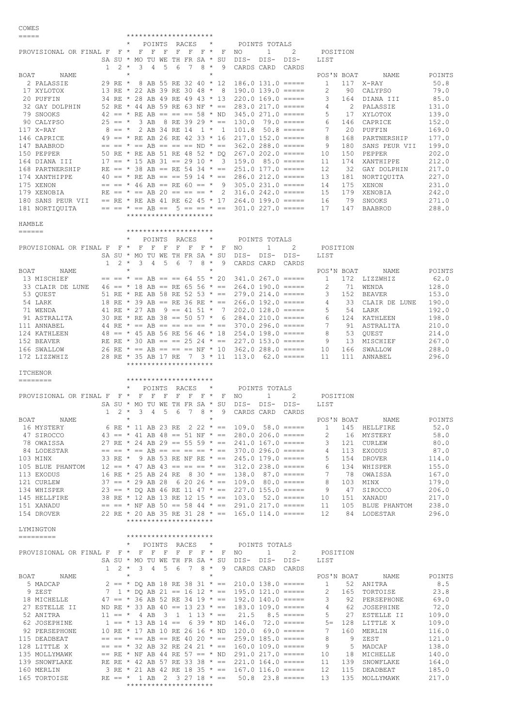COWES

| $=$ $=$ $=$ $=$ $=$                 |                            | *********************                                                                                  |                                                  |                                                             |
|-------------------------------------|----------------------------|--------------------------------------------------------------------------------------------------------|--------------------------------------------------|-------------------------------------------------------------|
|                                     |                            | $\star$<br>POINTS RACES<br>$\star$                                                                     | POINTS TOTALS                                    |                                                             |
| PROVISIONAL OR FINAL F F * F F F    |                            | $F$ $F$ $F$ $*$                                                                                        | F NO<br>$\mathbf{1}$<br>2                        | POSITION                                                    |
|                                     |                            | SA SU * MO TU WE TH FR SA * SU                                                                         | DIS- DIS-<br>DIS-                                | LIST                                                        |
|                                     | $2 *$<br>$\mathbf{1}$      | $8 *$<br>3<br>$\overline{4}$<br>.5<br>6<br>7<br>9                                                      | CARDS CARD<br>CARDS                              |                                                             |
| BOAT<br>NAME                        |                            | $\star$<br>$\star$                                                                                     |                                                  | POS'N BOAT<br>NAME<br>POINTS                                |
| 2 PALASSIE                          | 29 RE *                    | 8 AB 55 RE 32 40 * 12<br>13 RE * 22 AB 39 RE 30 48 * 8                                                 | $186.0$ $131.0$ $==$ $==$<br>$190.0$ 139.0 ===== | 50.8<br>$\mathbf{1}$<br>117 X-RAY<br>2<br>90<br>79.0        |
| 17 XYLOTOX<br>20 PUFFIN             |                            | 34 RE * 28 AB 49 RE 49 43 * 13                                                                         | $220.0$ 169.0 $====$                             | CALYPSO<br>3<br>85.0                                        |
| 32 GAY DOLPHIN                      |                            | 52 RE * 44 AB 59 RE 63 NF * == 283.0 217.0 =====                                                       |                                                  | 164 DIANA III<br>2 PALASSIE<br>131.0<br>4                   |
| 79 SNOOKS                           |                            | 42 == * RE AB == == == $58$ * ND 345.0 271.0 =====                                                     |                                                  | 5<br>139.0<br>17<br>XYLOTOX                                 |
| 90 CALYPSO                          |                            | $25 == * 3$ AB 8 RE 39 29 * == 130.0                                                                   | $79.0$ =====                                     | 6<br>146 CAPRICE<br>152.0                                   |
| 117 X-RAY                           |                            | $8 == * 2$ AB 34 RE 14 1 * 1 101.8                                                                     | $50.8$ =====                                     | 7<br>20 PUFFIN<br>169.0                                     |
| 146 CAPRICE                         |                            | 49 == * RE AB 26 RE 42 33 * 16                                                                         | $217.0$ 152.0 =====                              | 8<br>168 PARTNERSHIP<br>177.0                               |
| 147 BAABROD                         |                            | $== == * == AB == == == ND * ==$                                                                       | $362.0288.0 == ==$                               | 9<br>180<br>199.0<br>SANS PEUR VII                          |
| 150 PEPPER                          |                            | 50 RE * RE AB 51 RE 48 52 * DO                                                                         | $267.0202.0 == ==$                               | 202.0<br>10<br>150 PEPPER                                   |
| 164 DIANA III                       |                            | $17 == * 15$ AB 31 == 29 10 * 3 159.0 85.0 =====                                                       |                                                  | 212.0<br>11<br>174<br>XANTHIPPE                             |
| 168 PARTNERSHIP                     |                            | RE == $*$ 38 AB == RE 54 34 $*$ == 251.0 177.0 =====                                                   |                                                  | 32 GAY DOLPHIN<br>217.0<br>12                               |
| 174 XANTHIPPE                       |                            | 40 == * RE AB == == 59 14 * == 286.0 212.0 =====                                                       |                                                  | 227.0<br>13<br>181<br>NORTIOUITA                            |
| 175 XENON                           |                            | $==$ $==$ * 46 AB == RE 60 == * 9 305.0 231.0 =====                                                    |                                                  | 175 XENON<br>231.0<br>14                                    |
| 179 XENOBIA                         |                            | RE == $\star$ == AB 20 == == == $\star$ 2 316.0 242.0 =====                                            |                                                  | 15<br>179<br>XENOBIA<br>242.0                               |
| 180 SANS PEUR VII<br>181 NORTIOUITA |                            | == RE * RE AB 41 RE 62 45 * 17 264.0 199.0 =====<br>$== == * == AB == 5 == = * == 301.0227.0 == ==$    |                                                  | 79 SNOOKS<br>271.0<br>16<br>17<br>147<br>288.0              |
|                                     |                            | *********************                                                                                  |                                                  | BAABROD                                                     |
| HAMBLE                              |                            |                                                                                                        |                                                  |                                                             |
| $=$ $=$ $=$ $=$ $=$                 |                            | *********************                                                                                  |                                                  |                                                             |
|                                     |                            | POINTS RACES<br>$\star$<br>$\star$                                                                     | POINTS TOTALS                                    |                                                             |
| PROVISIONAL OR FINAL F F * F F F    |                            | FFF*<br>F                                                                                              | $\mathbf{1}$<br>2<br>NO.                         | POSITION                                                    |
|                                     |                            | SA SU * MO TU WE TH FR SA * SU                                                                         | DIS- DIS-<br>DIS-                                | LIST                                                        |
|                                     | $\mathbf{1}$<br>2 *        | 3<br>-5<br>6<br>7 8 *<br>$\overline{4}$<br>9                                                           | CARDS CARD<br>CARDS                              |                                                             |
| BOAT<br>NAME                        |                            | $\star$<br>$\star$                                                                                     |                                                  | POS'N BOAT<br>POINTS<br>NAME                                |
| 13 MISCHIEF                         |                            | $== == * == AB == == 64 55 * 20$                                                                       | $341.0267.0 == ==$                               | 62.0<br>$\mathbf{1}$<br>172 LIZZWHIZ                        |
| 33 CLAIR DE LUNE                    |                            | $46 == * 18$ AB == RE 65 56 * == 264.0 190.0 =====                                                     |                                                  | 2<br>128.0<br>71 WENDA                                      |
| 53 OUEST                            |                            | 51 RE * RE AB 58 RE 52 53 * == 279.0 214.0 =====                                                       |                                                  | 153.0<br>3<br>152 BEAVER                                    |
| 54 LARK                             |                            | 18 RE * 39 AB == RE 36 RE * == 266.0 192.0 =====                                                       |                                                  | 33 CLAIR DE LUNE<br>190.0<br>4                              |
| 71 WENDA                            |                            | 41 RE * 27 AB 9 == 41 51 * 7 202.0 128.0 =====                                                         |                                                  | 5<br>54 LARK<br>192.0                                       |
| 91 ASTRALITA                        |                            | 30 RE * RE AB 38 == 50 57 * 6 284.0 210.0 =====                                                        |                                                  | 124 KATHLEEN<br>198.0<br>6                                  |
| 111 ANNABEL                         |                            | 44 RE $\star$ == AB == == == == $\star$ == 370.0 296.0 =====                                           |                                                  | 7<br>91<br>210.0<br>ASTRALITA                               |
| 124 KATHLEEN<br>152 BEAVER          |                            | $48 == * 45$ AB 56 RE 56 46 * 18 254.0 198.0 =====<br>RE RE * 30 AB == == 25 24 * == 227.0 153.0 ===== |                                                  | 53 OUEST<br>214.0<br>8<br>13 MISCHIEF<br>267.0<br>9         |
| 166 SWALLOW                         |                            | 26 RE * == AB == == == NF * 10 362.0 288.0 =====                                                       |                                                  | 166 SWALLOW<br>288.0<br>10                                  |
| 172 LIZZWHIZ                        |                            | 28 RE * 35 AB 17 RE 7 3 * 11 113.0 62.0 =====                                                          |                                                  | 296.0<br>11<br>111 ANNABEL                                  |
|                                     |                            |                                                                                                        |                                                  |                                                             |
|                                     |                            | *********************                                                                                  |                                                  |                                                             |
| <b>ITCHENOR</b>                     |                            |                                                                                                        |                                                  |                                                             |
| ========                            |                            | *********************                                                                                  |                                                  |                                                             |
|                                     |                            | $\star$<br>POINTS RACES<br>$\star$                                                                     | POINTS TOTALS                                    |                                                             |
|                                     |                            | PROVISIONAL OR FINAL F F * F F F F F F * *<br>F                                                        | $\mathbf{1}$<br>2<br>NO.                         | POSITION                                                    |
|                                     |                            | SA SU * MO TU WE TH FR SA * SU                                                                         | DIS- DIS-<br>DIS-                                | LIST                                                        |
|                                     | $1 \quad 2 \quad ^{\star}$ | 5<br>3<br>4<br>6<br>7<br>$8 *$<br>9                                                                    | CARDS CARD<br>CARDS                              |                                                             |
| BOAT<br>NAME                        |                            |                                                                                                        |                                                  | POS'N BOAT<br>NAME<br>POINTS                                |
| 16 MYSTERY                          |                            | 6 RE * 11 AB 23 RE 2 22 * == 109.0 58.0 =====                                                          |                                                  | 52.0<br>$\mathbf{1}$<br>145 HELLFIRE                        |
| 47 SIROCCO                          |                            | $43 == * 41$ AB $48 == 51$ NF $* == 280.0$ 206.0 =====                                                 |                                                  | 58.0<br>$\overline{2}$<br>16 MYSTERY                        |
| 78 OWAISSA                          |                            | 27 RE * 24 AB 29 == 55 59 * == 241.0 167.0 =====                                                       |                                                  | 3<br>121 CURLEW<br>80.0                                     |
| 84 LODESTAR                         |                            | $== == * == AB == == == == * == 370.0296.0 == ==$                                                      |                                                  | 87.0<br>4<br>113 EXODUS                                     |
| 103 MINX                            |                            | 33 RE * 9 AB 53 RE NF RE * == 245.0 179.0 =====                                                        |                                                  | 5<br>154 DROVER<br>114.0                                    |
| 105 BLUE PHANTOM                    |                            | $12 == * 47$ AB $43 == == * == * == 312.0$ 238.0 =====                                                 |                                                  | 155.0<br>6<br>134<br>WHISPER                                |
| 113 EXODUS                          |                            | 16 RE * 25 AB 24 RE 8 30 * == 138.0 87.0 =====                                                         |                                                  | 7<br>167.0<br>78 OWAISSA                                    |
| 121 CURLEW<br>134 WHISPER           |                            | $37 == * 29$ AB 28 6 20 26 * == 109.0 80.0 =====<br>$23 == * DO AB 46 RE 11 47 * == 227.0 155.0 == ==$ |                                                  | 8<br>103<br>179.0<br>MINX<br>9<br>206.0<br>47 SIROCCO       |
| 145 HELLFIRE                        |                            | 38 RE * 12 AB 13 RE 12 15 * == 103.0 52.0 =====                                                        |                                                  | 151 XANADU<br>217.0<br>10                                   |
| 151 XANADU                          |                            | $== == * NF AB 50 == 58 44 * == 291.0 217.0 == ==$                                                     |                                                  | 11<br>105 BLUE PHANTOM<br>238.0                             |
| 154 DROVER                          |                            | 22 RE * 20 AB 35 RE 31 28 * == 165.0 114.0 =====                                                       |                                                  | 12<br>84 LODESTAR<br>296.0                                  |
|                                     |                            | *********************                                                                                  |                                                  |                                                             |
| LYMINGTON                           |                            |                                                                                                        |                                                  |                                                             |
|                                     |                            | *********************                                                                                  |                                                  |                                                             |
|                                     |                            | * POINTS RACES * POINTS TOTALS                                                                         |                                                  |                                                             |
|                                     |                            | PROVISIONAL OR FINAL F F * F F F F F F F * F NO                                                        | $1 \t 2$                                         | POSITION                                                    |
|                                     |                            | SA SU * MO TU WE TH FR SA * SU                                                                         | DIS- DIS- DIS-                                   | LIST                                                        |
|                                     | $1 \t2 \t*$                | 3 4 5 6<br>7 8 * 9                                                                                     | CARDS CARD CARDS                                 |                                                             |
| BOAT<br>NAME                        |                            | $\star$<br>$^{\star}$                                                                                  |                                                  | POS'N BOAT NAME<br>POINTS                                   |
| 5 MADCAP                            |                            | $2 == * DQ$ AB 18 RE 38 31 * == 210.0 138.0 =====                                                      |                                                  | 8.5<br>$\mathbf{1}$<br>52 ANITRA                            |
| 9 ZEST                              |                            | 7 1 * DQ AB 21 == 16 12 * == 195.0 121.0 =====                                                         |                                                  | $\overline{c}$<br>23.8<br>165 TORTOISE                      |
| 18 MICHELLE                         |                            | 47 == * 36 AB 52 RE 34 19 * == 192.0 140.0 =====                                                       |                                                  | 69.0<br>$\mathbf{3}$<br>92 PERSEPHONE<br>4                  |
| 27 ESTELLE II<br>52 ANITRA          |                            | ND RE * 33 AB 40 == 13 23 * == 183.0 109.0 =====<br>$11 == * 4$ AB 3 1 1 13 * == 21.5                  | $8.5$ =====                                      | 72.0<br>62 JOSEPHINE<br>5<br>27 ESTELLE II<br>109.0         |
| 62 JOSEPHINE                        |                            | $1 == * 13$ AB $14 == 6$ 39 * ND $146.0$ 72.0 =====                                                    |                                                  | 128 LITTLE X<br>109.0<br>$5 =$                              |
| 92 PERSEPHONE                       |                            | 10 RE * 17 AB 10 RE 26 16 * ND 120.0 69.0 =====                                                        |                                                  | 7<br>160<br>MERLIN<br>116.0                                 |
| 115 DEADBEAT                        |                            | $== == * == AB == RE 40 20 * == 259.0 185.0 == ==$                                                     |                                                  | 8<br>ZEST<br>121.0<br>9                                     |
| 128 LITTLE X                        |                            | $==$ $==$ * 32 AB 32 RE 24 21 * == 160.0 109.0 =====                                                   |                                                  | 9<br>138.0<br>5 MADCAP                                      |
| 135 MOLLYMAWK                       |                            | $==$ RE * NF AB 44 RE 57 == * ND 291.0 217.0 =====                                                     |                                                  | 10<br>18 MICHELLE<br>140.0                                  |
| 139 SNOWFLAKE<br>160 MERLIN         |                            | RE RE * 42 AB 57 RE 33 38 * == 221.0 164.0 =====<br>3 RE * 21 AB 42 RE 18 35 * == 167.0 116.0 =====    |                                                  | 11<br>139 SNOWFLAKE<br>164.0<br>12<br>115 DEADBEAT<br>185.0 |

165 TORTOISE RE == \* 1 AB 2 3 27 18 \* == 50.8 23.8 ===== 13 135 MOLLYMAWK 217.0

\*\*\*\*\*\*\*\*\*\*\*\*\*\*\*\*\*\*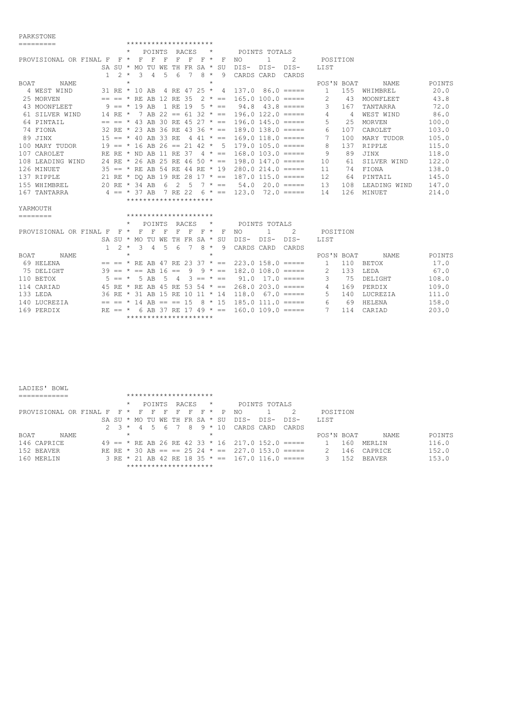## PARKSTONE

| =========                  | *********************              |                                |                           |                     |               |        |  |  |  |  |  |  |  |  |
|----------------------------|------------------------------------|--------------------------------|---------------------------|---------------------|---------------|--------|--|--|--|--|--|--|--|--|
|                            | POINTS                             | <b>RACES</b><br>$\star$        | POINTS TOTALS             |                     |               |        |  |  |  |  |  |  |  |  |
| PROVISIONAL OR FINAL F     | - F<br>F<br>F<br>$\mathbf{F}$ *    | F<br>F<br>$F \star$<br>F       | -2<br>NO.<br>1.           | POSITION            |               |        |  |  |  |  |  |  |  |  |
|                            | SA SU $*$ MO TU WE                 | TH FR SA * SU                  | $DTS-$<br>DIS-<br>DTS-    | <b>LIST</b>         |               |        |  |  |  |  |  |  |  |  |
| $\mathbf{1}$               | $\mathcal{F}$<br>$2 *$<br>4<br>.5  | $8 *$<br>$6\overline{6}$<br>-9 | CARDS CARD<br>CARDS       |                     |               |        |  |  |  |  |  |  |  |  |
| <b>BOAT</b><br>NAME.       | $\star$                            | $\star$                        |                           | POS'N BOAT          | NAME.         | POINTS |  |  |  |  |  |  |  |  |
| 4 WEST WIND                | 31 RE $*$ 10 AB                    | 4 RE 47 25 * 4                 | $137.0$ 86.0 $====$       | 155<br>$\mathbf{1}$ | WHIMBREL      | 20.0   |  |  |  |  |  |  |  |  |
| 25 MORVEN                  | $== == * RR AR 12 RR 35$           | $2 * ==$                       | $165.0100.0 == ==$        | 43                  | MOONFLEET     | 43.8   |  |  |  |  |  |  |  |  |
| 43 MOONFLEET               | $9 == * 19$ AB<br>1 RE 19          | $5 * =$                        | 94.8<br>$43.8$ =====      | 3<br>167            | TANTARRA      | 72.0   |  |  |  |  |  |  |  |  |
| 61 STLVER WIND             | 14 RE * 7 AB 22 == 61 32 * ==      |                                | $196.0 122.0 == ==$       | 4<br>-4             | WEST WIND     | 86.0   |  |  |  |  |  |  |  |  |
| 64 PINTAIL                 | $== == * 43$ AB 30 RE 45 27 $* ==$ |                                | $196.0$ $145.0$ $====$    | 5.<br>2.5           | <b>MORVEN</b> | 100.0  |  |  |  |  |  |  |  |  |
| 74 FIONA                   | 32 RE * 23 AB 36 RE 43 36 * ==     |                                | $189.0$ $138.0$ $====$    | 107<br>6            | CAROLET       | 103.0  |  |  |  |  |  |  |  |  |
| 89 JINX                    | $15 == * 40$ AB 33 RE              | 4 4 1 $\star$ ==               | $169.0$ $118.0$ $==$      | 100<br>7            | MARY TUDOR    | 105.0  |  |  |  |  |  |  |  |  |
| 100 MARY TUDOR             | $19 == * 16$ AB 26 == 21 42 $*$ 5  |                                | $179.0 105.0 == ==$       | 8<br>137            | RTPPLE        | 115.0  |  |  |  |  |  |  |  |  |
| 107 CAROLET                | RE RE * ND AB 11 RE 37             | $4 * =$                        | $168.0$ 103.0 $====$      | 9<br>89             | JINX          | 118.0  |  |  |  |  |  |  |  |  |
| 108 LEADING WIND           | 24 RE * 26 AB 25 RE 46 50 * ==     |                                | $198.0$ 147.0 $====$      | 10<br>61            | SILVER WIND   | 122.0  |  |  |  |  |  |  |  |  |
| 126 MINUET                 | $35 == * RE AB 54 RE 44 RE * 19$   |                                | $280.0214.0 == ==$        | 74<br>11            | FIONA         | 138.0  |  |  |  |  |  |  |  |  |
| 137 RIPPLE                 | 21 RE * DO AB 19 RE 28             | $17 * =$                       | $187.0$ $115.0$ $==$ $==$ | 12<br>64            | PINTAIL       | 145.0  |  |  |  |  |  |  |  |  |
| 155 WHIMBREL               | 20 RE $*$ 34 AB<br>6               | 2<br>.5<br>$7 * =$             | 54.0<br>$20.0 == ==$      | 108<br>13           | LEADING WIND  | 147.0  |  |  |  |  |  |  |  |  |
| 167 TANTARRA               | $4 == * 37 AR$<br>7 RE 22          | 6 * ==                         | 123.0<br>$72.0 == ==$     | 14<br>126           | <b>MTNUET</b> | 214.0  |  |  |  |  |  |  |  |  |
|                            | *********************              |                                |                           |                     |               |        |  |  |  |  |  |  |  |  |
| YARMOUTH                   |                                    |                                |                           |                     |               |        |  |  |  |  |  |  |  |  |
| $=$ = = = = = = =          | *********************              |                                |                           |                     |               |        |  |  |  |  |  |  |  |  |
|                            | POINTS                             | RACES                          | POINTS TOTALS             |                     |               |        |  |  |  |  |  |  |  |  |
| PROVISIONAL OR FINAL F     | $F \star$<br>F<br>F<br>F           | F<br>F<br>$\star$<br>F<br>F    | 2<br>NO.<br>1             | POSITION            |               |        |  |  |  |  |  |  |  |  |
|                            | SA SU * MO TU WE<br>TH.            | FR<br>$SA *$<br>SU             | DIS-<br>$DIS-$<br>DTS-    | LIST                |               |        |  |  |  |  |  |  |  |  |
| $\mathbf{1}$               | $2 *$<br>$\mathcal{E}$<br>4<br>5.  | $8 * 9$<br>6                   | CARDS CARD<br>CARDS       |                     |               |        |  |  |  |  |  |  |  |  |
| <b>BOAT</b><br>NAME.       | $\star$                            | $\star$                        |                           | POS'N BOAT          | <b>NAME</b>   | POINTS |  |  |  |  |  |  |  |  |
| 69 HELENA<br>$==$ $==$ $*$ |                                    | RE AB 47 RE 23 37 $* ==$       | $223.0$ 158.0 =====       | 110<br>$\mathbf{1}$ | BETOX         | 17.0   |  |  |  |  |  |  |  |  |
| 75 DELIGHT<br>$39 ==$      | $* == AB 16 ==$                    | 9<br>9<br>$\star$<br>$=$       | $182.0 108.0 == ==$       | 2<br>133            | LEDA          | 67.0   |  |  |  |  |  |  |  |  |
| 110 BETOX<br>$5 == *$      | 5 AB<br>- 5                        | $3 == * ==$<br>-4              | 91.0<br>$17.0 == ==$      | 3<br>75             | DELTGHT       | 108.0  |  |  |  |  |  |  |  |  |

| IIU DEIUA    |  |  |  |                       |  |  |  |                                                                  |  | . ( AD ) 4 ) -- ^ -- ( الـ ) -- ( ) -- ( ) -- ( ) -- ( ) + ( ) + ( ) + ( ) + ( ) + ( ) + ( ) + ( ) + ( ) + ( ) | TAO . A |
|--------------|--|--|--|-----------------------|--|--|--|------------------------------------------------------------------|--|----------------------------------------------------------------------------------------------------------------|---------|
| 114 CARIAD   |  |  |  |                       |  |  |  | 45 RE * RE AB 45 RE 53 54 * == 268.0 203.0 =====                 |  | 4 169 PERDIX                                                                                                   | 109.0   |
| 133 LEDA     |  |  |  |                       |  |  |  | 36 RE $\star$ 31 AB 15 RE 10 11 $\star$ 14 118.0 67.0 =====      |  | 5 140 LUCREZTA                                                                                                 | 111.0   |
| 140 LUCREZIA |  |  |  |                       |  |  |  | $==$ $=$ $\star$ 14 AB == $==$ 15 8 $\star$ 15 185.0 111.0 ===== |  | 6 69 HELENA                                                                                                    | 158.0   |
| 169 PERDIX   |  |  |  |                       |  |  |  | RE == * 6 AB 37 RE 17 49 * == 160.0 109.0 =====                  |  | 7 114 CARTAD                                                                                                   | 203.0   |
|              |  |  |  | ********************* |  |  |  |                                                                  |  |                                                                                                                |         |
|              |  |  |  |                       |  |  |  |                                                                  |  |                                                                                                                |         |

| LADIES' BOWL           |           |       | *********************                                                        |              |              |       |             |         |              |                                                              |               |       |            |     |               |        |  |
|------------------------|-----------|-------|------------------------------------------------------------------------------|--------------|--------------|-------|-------------|---------|--------------|--------------------------------------------------------------|---------------|-------|------------|-----|---------------|--------|--|
|                        |           |       | POINTS                                                                       |              |              | RACES |             | $\star$ |              |                                                              | POINTS TOTALS |       |            |     |               |        |  |
| PROVISIONAL OR FINAL F | $F \star$ | - F - | - F -                                                                        | $\mathbf{F}$ | $\mathbf{F}$ |       | $F$ $F$ $*$ |         | $\mathsf{P}$ | NO.                                                          |               |       | POSITION   |     |               |        |  |
|                        |           |       | SA SU * MO TU WE TH FR SA * SU                                               |              |              |       |             |         |              | DTS-                                                         | DTS-          | DIS-  | LIST.      |     |               |        |  |
|                        |           |       | $2 \times 3 \times 4 \times 5 \times 6 \times 7 \times 8 \times 9 \times 10$ |              |              |       |             |         |              | CARDS CARD                                                   |               | CARDS |            |     |               |        |  |
| BOAT<br>NAME           |           |       |                                                                              |              |              |       |             | $\star$ |              |                                                              |               |       | POS'N BOAT |     | NAME.         | POINTS |  |
| 146 CAPRICE            |           |       |                                                                              |              |              |       |             |         |              | 49 == * RE AB 26 RE 42 33 * 16 217.0 152.0 =====             |               |       |            | 160 | <b>MERLIN</b> | 116.0  |  |
| 152 BEAVER             |           |       |                                                                              |              |              |       |             |         |              | RE RE $\star$ 30 AB == == 25 24 $\star$ == 227.0 153.0 ===== |               |       |            | 146 | CAPRICE       | 152.0  |  |
| 160 MERLIN             |           |       |                                                                              |              |              |       |             |         |              | 3 RE * 21 AB 42 RE 18 35 * == 167.0 116.0 =====              |               |       | 3.         | 152 | <b>BEAVER</b> | 153.0  |  |
|                        |           |       | *********************                                                        |              |              |       |             |         |              |                                                              |               |       |            |     |               |        |  |